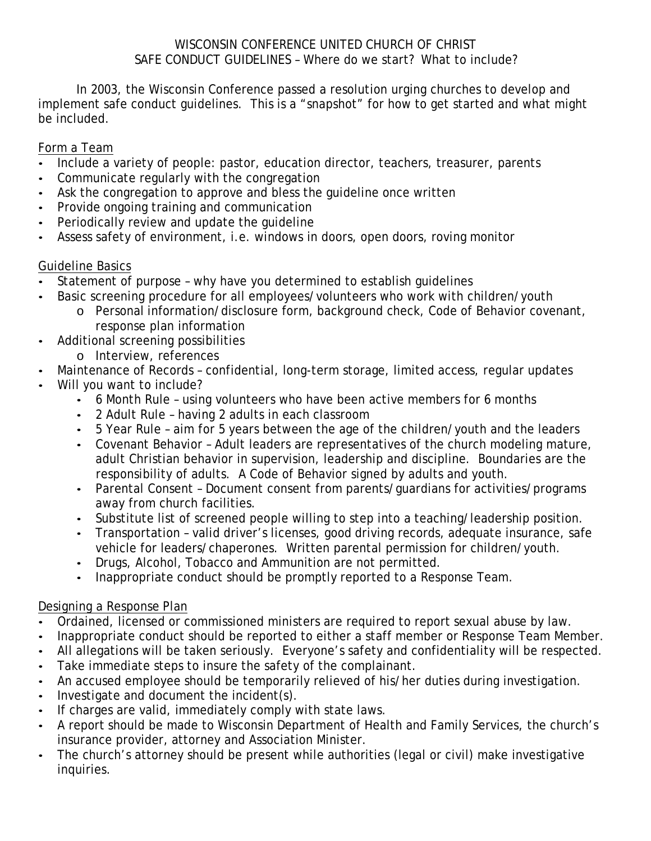#### WISCONSIN CONFERENCE UNITED CHURCH OF CHRIST SAFE CONDUCT GUIDELINES – Where do we start? What to include?

In 2003, the Wisconsin Conference passed a resolution urging churches to develop and implement safe conduct guidelines. This is a "snapshot" for how to get started and what might be included.

### Form a Team

- Include a variety of people: pastor, education director, teachers, treasurer, parents
- Communicate regularly with the congregation
- Ask the congregation to approve and bless the guideline once written
- Provide ongoing training and communication
- Periodically review and update the guideline
- Assess safety of environment, i.e. windows in doors, open doors, roving monitor

# Guideline Basics

- Statement of purpose why have you determined to establish guidelines
- Basic screening procedure for all employees/volunteers who work with children/youth
	- o Personal information/disclosure form, background check, Code of Behavior covenant, response plan information
- Additional screening possibilities
	- o Interview, references
- Maintenance of Records confidential, long-term storage, limited access, regular updates
- Will you want to include?
	- 6 Month Rule using volunteers who have been active members for 6 months
	- 2 Adult Rule having 2 adults in each classroom
	- 5 Year Rule aim for 5 years between the age of the children/youth and the leaders
	- Covenant Behavior Adult leaders are representatives of the church modeling mature, adult Christian behavior in supervision, leadership and discipline. Boundaries are the responsibility of adults. A Code of Behavior signed by adults and youth.
	- Parental Consent Document consent from parents/guardians for activities/programs away from church facilities.
	- Substitute list of screened people willing to step into a teaching/leadership position.
	- Transportation valid driver's licenses, good driving records, adequate insurance, safe vehicle for leaders/chaperones. Written parental permission for children/youth.
	- Drugs, Alcohol, Tobacco and Ammunition are not permitted.
	- Inappropriate conduct should be promptly reported to a Response Team.

# Designing a Response Plan

- Ordained, licensed or commissioned ministers are required to report sexual abuse by law.
- Inappropriate conduct should be reported to either a staff member or Response Team Member.
- All allegations will be taken seriously. Everyone's safety and confidentiality will be respected.
- Take immediate steps to insure the safety of the complainant.
- An accused employee should be temporarily relieved of his/her duties during investigation.
- Investigate and document the incident(s).
- If charges are valid, immediately comply with state laws.
- A report should be made to Wisconsin Department of Health and Family Services, the church's insurance provider, attorney and Association Minister.
- The church's attorney should be present while authorities (legal or civil) make investigative inquiries.